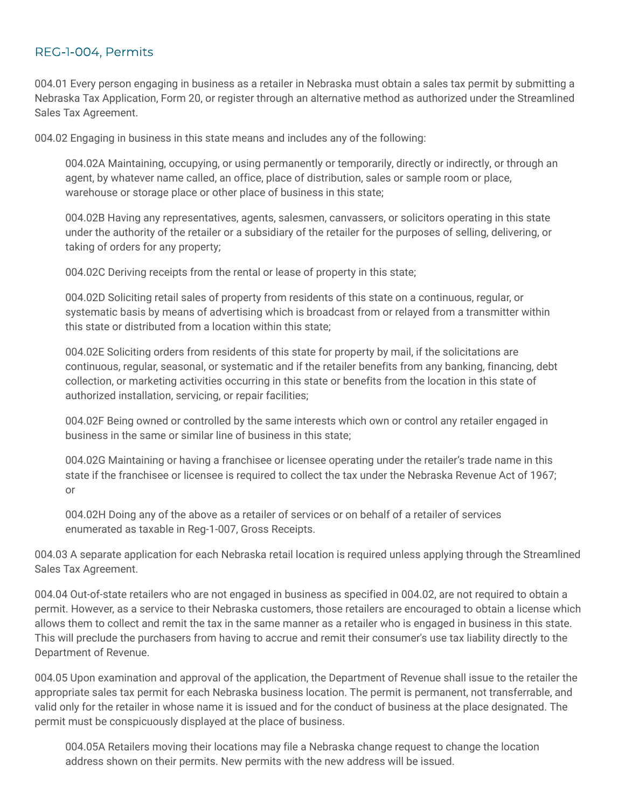## REG-1-004, Permits

004.01 Every person engaging in business as a retailer in Nebraska must obtain a sales tax permit by submitting a Nebraska Tax Application, Form 20, or register through an alternative method as authorized under the Streamlined Sales Tax Agreement.

004.02 Engaging in business in this state means and includes any of the following:

004.02A Maintaining, occupying, or using permanently or temporarily, directly or indirectly, or through an agent, by whatever name called, an office, place of distribution, sales or sample room or place, warehouse or storage place or other place of business in this state;

004.02B Having any representatives, agents, salesmen, canvassers, or solicitors operating in this state under the authority of the retailer or a subsidiary of the retailer for the purposes of selling, delivering, or taking of orders for any property;

004.02C Deriving receipts from the rental or lease of property in this state;

004.02D Soliciting retail sales of property from residents of this state on a continuous, regular, or systematic basis by means of advertising which is broadcast from or relayed from a transmitter within this state or distributed from a location within this state;

004.02E Soliciting orders from residents of this state for property by mail, if the solicitations are continuous, regular, seasonal, or systematic and if the retailer benefits from any banking, financing, debt collection, or marketing activities occurring in this state or benefits from the location in this state of authorized installation, servicing, or repair facilities;

004.02F Being owned or controlled by the same interests which own or control any retailer engaged in business in the same or similar line of business in this state;

004.02G Maintaining or having a franchisee or licensee operating under the retailer's trade name in this state if the franchisee or licensee is required to collect the tax under the Nebraska Revenue Act of 1967; or

004.02H Doing any of the above as a retailer of services or on behalf of a retailer of services enumerated as taxable in Reg-1-007, Gross Receipts.

004.03 A separate application for each Nebraska retail location is required unless applying through the Streamlined Sales Tax Agreement.

004.04 Out-of-state retailers who are not engaged in business as specified in 004.02, are not required to obtain a permit. However, as a service to their Nebraska customers, those retailers are encouraged to obtain a license which allows them to collect and remit the tax in the same manner as a retailer who is engaged in business in this state. This will preclude the purchasers from having to accrue and remit their consumer's use tax liability directly to the Department of Revenue.

004.05 Upon examination and approval of the application, the Department of Revenue shall issue to the retailer the appropriate sales tax permit for each Nebraska business location. The permit is permanent, not transferrable, and valid only for the retailer in whose name it is issued and for the conduct of business at the place designated. The permit must be conspicuously displayed at the place of business.

004.05A Retailers moving their locations may file a Nebraska change request to change the location address shown on their permits. New permits with the new address will be issued.